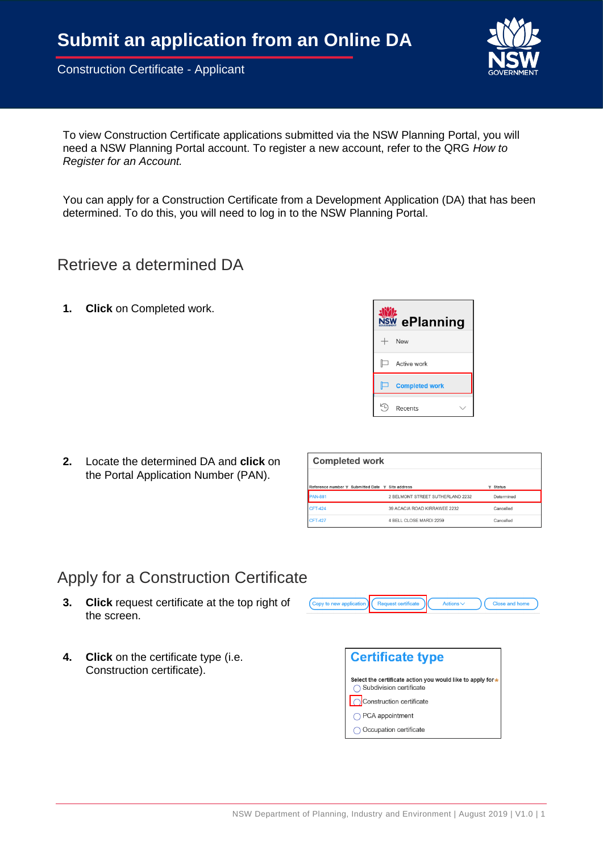

To view Construction Certificate applications submitted via the NSW Planning Portal, you will need a NSW Planning Portal account. To register a new account, refer to the QRG *How to Register for an Account.*

You can apply for a Construction Certificate from a Development Application (DA) that has been determined. To do this, you will need to log in to the NSW Planning Portal.

### Retrieve a determined DA

**1. Click** on Completed work.



**2.** Locate the determined DA and **click** on the Portal Application Number (PAN).

| <b>Completed work</b>                            |                                  |                                           |
|--------------------------------------------------|----------------------------------|-------------------------------------------|
| Reference number T Submitted Date T Site address |                                  | <b>Status</b><br>$\overline{\phantom{a}}$ |
| <b>AN-881</b>                                    | 2 BELMONT STREET SUTHERLAND 2232 | Determined                                |
| <b>CFT-424</b>                                   | 39 ACACIA ROAD KIRRAWEE 2232     | Cancelled                                 |
| <b>CFT-427</b>                                   | 4 BELL CLOSE MARDI 2259          | Cancelled                                 |

### Apply for a Construction Certificate

- **3. Click** request certificate at the top right of the screen.
- **4. Click** on the certificate type (i.e. Construction certificate).



Close and hom

Copy to new app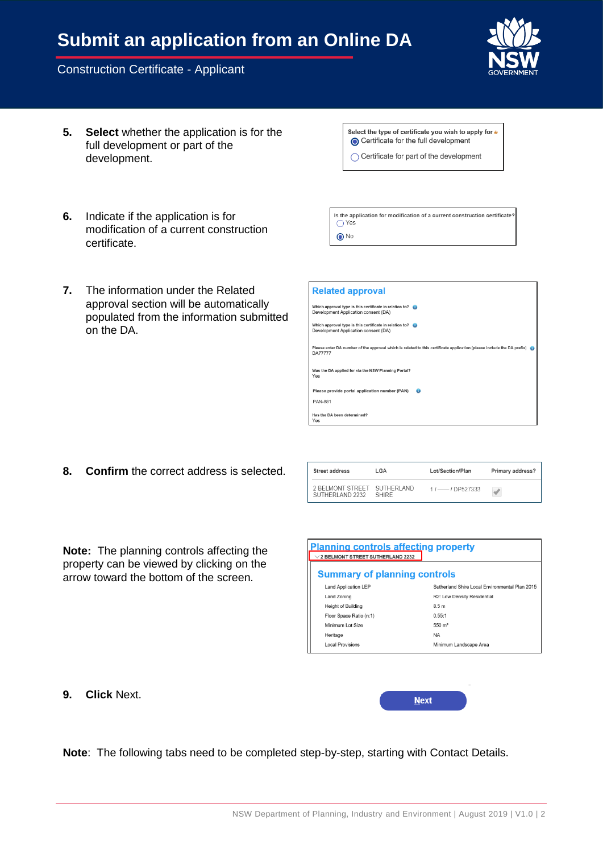# **Submit an application from an Online DA**

#### Construction Certificate - Applicant



- **5. Select** whether the application is for the full development or part of the development.
- Select the type of certificate you wish to apply for \* ○ Certificate for the full development
- ◯ Certificate for part of the development

- **6.** Indicate if the application is for modification of a current construction certificate.
- **7.** The information under the Related approval section will be automatically populated from the information submitted on the DA.

| Is the application for modification of a current construction certificate?<br>◯ Yes |  |
|-------------------------------------------------------------------------------------|--|
| $\odot$ No                                                                          |  |

| <b>Related approval</b>                                                                                                                  |  |  |  |
|------------------------------------------------------------------------------------------------------------------------------------------|--|--|--|
| Which approval type is this certificate in relation to?<br>Development Application consent (DA)                                          |  |  |  |
| Which approval type is this certificate in relation to?<br>Development Application consent (DA)                                          |  |  |  |
| Please enter DA number of the approval which is related to this certificate application (please include the DA prefix)<br><b>DA77777</b> |  |  |  |
| Was the DA applied for via the NSW Planning Portal?<br>Yes                                                                               |  |  |  |
| Please provide portal application number (PAN)<br>$\bullet$                                                                              |  |  |  |
| <b>PAN-881</b>                                                                                                                           |  |  |  |
| Has the DA been determined?<br>Yes                                                                                                       |  |  |  |

**8. Confirm** the correct address is selected.

| Street address                                 | LGA   | Lot/Section/Plan | Primary address? |
|------------------------------------------------|-------|------------------|------------------|
| 2 BELMONT STREET SUTHERLAND<br>SUTHERLAND 2232 | SHIRE | 1 / - / DP527333 |                  |

**Note:** The planning controls affecting the property can be viewed by clicking on the arrow toward the bottom of the screen.

| <b>Planning controls affecting property</b><br>$\vee$ 2 BELMONT STREET SUTHERLAND 2232 |                                                |  |  |
|----------------------------------------------------------------------------------------|------------------------------------------------|--|--|
| <b>Summary of planning controls</b>                                                    |                                                |  |  |
| <b>Land Application LEP</b>                                                            | Sutherland Shire Local Environmental Plan 2015 |  |  |
| Land Zoning                                                                            | R2: Low Density Residential                    |  |  |
| Height of Building                                                                     | 8.5 <sub>m</sub>                               |  |  |
| Floor Space Ratio (n:1)                                                                | 0.55:1                                         |  |  |
| Minimum Lot Size                                                                       | $550 \; \text{m}^2$                            |  |  |
| Heritage                                                                               | <b>NA</b>                                      |  |  |
| <b>Local Provisions</b>                                                                | Minimum Landscape Area                         |  |  |
|                                                                                        |                                                |  |  |

**9. Click** Next.

| <b>Next</b> |  |
|-------------|--|
|             |  |

**Note**: The following tabs need to be completed step-by-step, starting with Contact Details.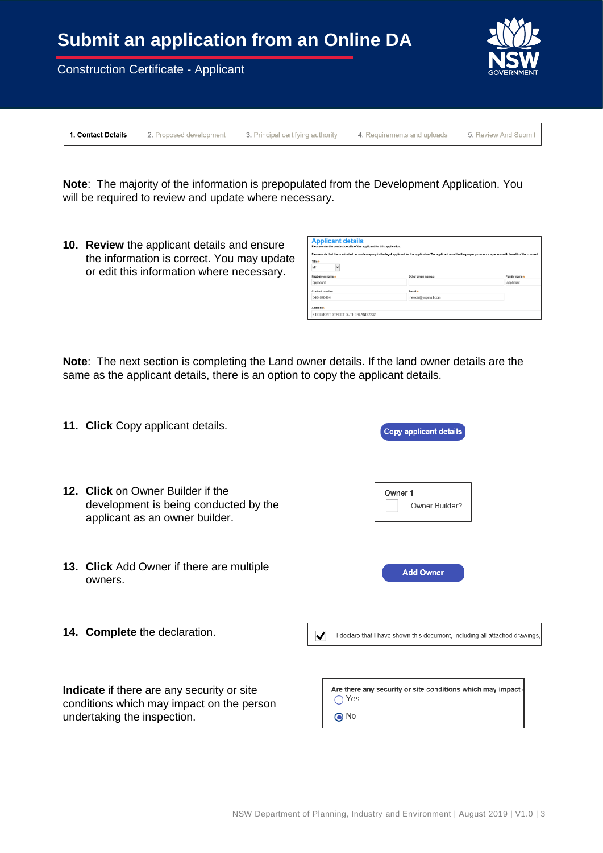

1. Contact Details

2. Proposed development

3. Principal certifying authority 4. Requirements and uploads 5. Review And Submit

**Note**: The majority of the information is prepopulated from the Development Application. You will be required to review and update where necessary.

**10. Review** the applicant details and ensure the information is correct. You may update or edit this information where necessary.

| <b>Applicant details</b><br>Please enter the contact details of the applicant for this application.                                                                         |                    |               |  |
|-----------------------------------------------------------------------------------------------------------------------------------------------------------------------------|--------------------|---------------|--|
| Please note that the nominated person/ company is the legal applicant for the application. The applicant must be the property owner or a person with benefit of the consent |                    |               |  |
| Title +<br>Mr<br>$\checkmark$                                                                                                                                               |                    |               |  |
| First given name *                                                                                                                                                          | Other given name/s | Family name * |  |
| applicant                                                                                                                                                                   |                    | applicant     |  |
| Contact number                                                                                                                                                              | Email *            |               |  |
| 0404040404                                                                                                                                                                  | newda@voomail.com  |               |  |
| Addresse                                                                                                                                                                    |                    |               |  |
| 2 BELMONT STREET SUTHERLAND 2232                                                                                                                                            |                    |               |  |

**Note**: The next section is completing the Land owner details. If the land owner details are the same as the applicant details, there is an option to copy the applicant details.

| 11. Click Copy applicant details.                                                                                      | <b>Copy applicant details</b>                                                                                  |
|------------------------------------------------------------------------------------------------------------------------|----------------------------------------------------------------------------------------------------------------|
| 12. Click on Owner Builder if the<br>development is being conducted by the<br>applicant as an owner builder.           | Owner 1<br>Owner Builder?                                                                                      |
| <b>13. Click</b> Add Owner if there are multiple<br>owners.                                                            | <b>Add Owner</b>                                                                                               |
| 14. Complete the declaration.                                                                                          | $\overline{\blacktriangledown}$<br>I declare that I have shown this document, including all attached drawings, |
| Indicate if there are any security or site<br>conditions which may impact on the person<br>undertaking the inspection. | Are there any security or site conditions which may impact of<br>Yes<br>$\odot$ No                             |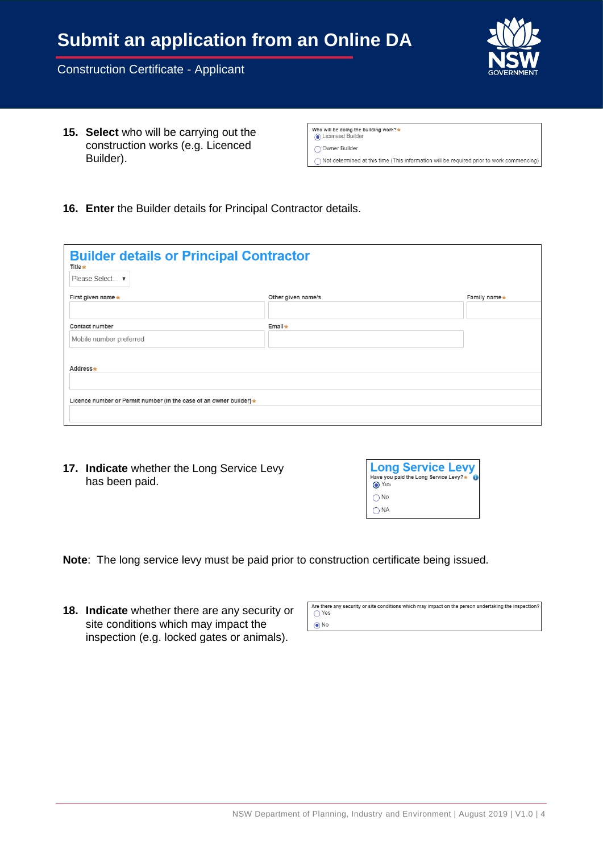commencing)

Construction Certificate - Applicant

**15. Select** who will be carrying out the construction works (e.g. Licenced Builder).

| Who will be doing the building work? $\star$<br>C Licensed Builder                     |
|----------------------------------------------------------------------------------------|
| ◯ Owner Builder                                                                        |
| $\bigcap$ Not determined at this time (This information will be required prior to work |

**16. Enter** the Builder details for Principal Contractor details.

| <b>Builder details or Principal Contractor</b><br>Title $\star$<br>Please Select ▼ |                    |              |  |
|------------------------------------------------------------------------------------|--------------------|--------------|--|
| First given name *                                                                 | Other given name/s | Family name* |  |
|                                                                                    |                    |              |  |
| Contact number                                                                     | Email $\star$      |              |  |
| Mobile number preferred                                                            |                    |              |  |
| Address*                                                                           |                    |              |  |
|                                                                                    |                    |              |  |
| Licence number or Permit number (in the case of an owner builder) *                |                    |              |  |
|                                                                                    |                    |              |  |

**17. Indicate** whether the Long Service Levy has been paid.

| <b>Long Service Levy</b><br>Have you paid the Long Service Levy?*<br><b>⊙</b> Yes |
|-----------------------------------------------------------------------------------|
| $\bigcap$ No                                                                      |
| <b>NA</b>                                                                         |

**Note**: The long service levy must be paid prior to construction certificate being issued.

**18. Indicate** whether there are any security or site conditions which may impact the inspection (e.g. locked gates or animals).

Are there any security or site conditions which may impact on the person undertaking the inspection?  $\bigcirc$  Yes  $\odot$  No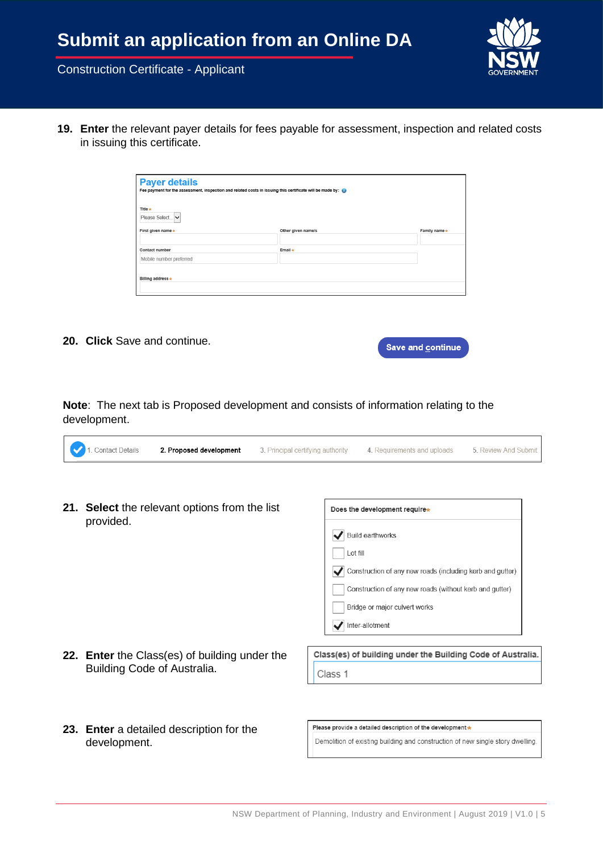

**19. Enter** the relevant payer details for fees payable for assessment, inspection and related costs in issuing this certificate.

| <b>Payer details</b><br>Fee payment for the assessment, inspection and related costs in issuing this certificate will be made by: |                    |              |  |
|-----------------------------------------------------------------------------------------------------------------------------------|--------------------|--------------|--|
| Title $\star$<br>Please Select   v                                                                                                |                    |              |  |
| First given name *                                                                                                                | Other given name/s | Family name* |  |
|                                                                                                                                   |                    |              |  |
| Contact number                                                                                                                    | Email *            |              |  |
| Mobile number preferred                                                                                                           |                    |              |  |
|                                                                                                                                   |                    |              |  |
| Billing address *                                                                                                                 |                    |              |  |
|                                                                                                                                   |                    |              |  |

**20. Click** Save and continue.

|  | <b>Save and continue.</b> |
|--|---------------------------|
|  |                           |

**Note**: The next tab is Proposed development and consists of information relating to the development.

- **21. Select** the relevant options from the list Does the development require\* provided. Build earthworks Lot fill Construction of any new roads (including kerb and gutter) Construction of any new roads (without kerb and gutter) Bridge or major culvert works Inter-allotment Class(es) of building under the Building Code of Australia. **22. Enter** the Class(es) of building under the Building Code of Australia.
	- Class 1
- **23. Enter** a detailed description for the development.

Please provide a detailed description of the development \*

Demolition of existing building and construction of new single story dwelling.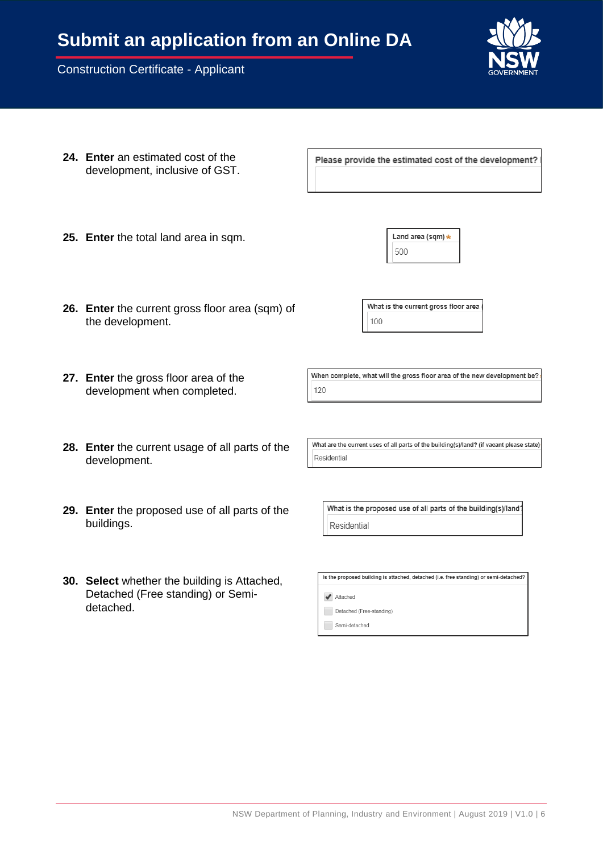- **24. Enter** an estimated cost of the development, inclusive of GST.
- **25. Enter** the total land area in sqm.
- **26. Enter** the current gross floor area (sqm) of the development.
- **27. Enter** the gross floor area of the development when completed.
- **28. Enter** the current usage of all parts of the development.
- **29. Enter** the proposed use of all parts of the buildings.
- **30. Select** whether the building is Attached, Detached (Free standing) or Semidetached.

What are the current uses of all parts of the building(s)/land? (if vacant please state)

What is the proposed use of all parts of the building(s)/land? Residential

Is the proposed building is attached, detached (i.e. free standing) or semi-detached?

Attached

Residential

Detached (Free-standing)

Semi-detached

What is the current gross floor area 100

Land area (sqm) \*

500

Please provide the estimated cost of the development?

When complete, what will the gross floor area of the new development be? 120

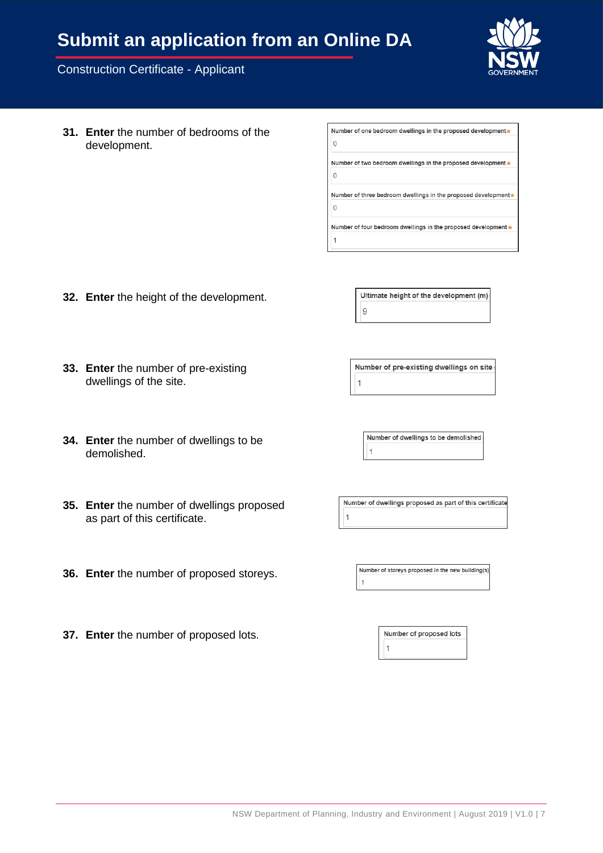## **Submit an application from an Online DA**

#### Construction Certificate - Applicant

**31. Enter** the number of bedrooms of the development.

Number of one bedroom dwellings in the proposed development\*  $\overline{0}$ Number of two bedroom dwellings in the proposed development \*  $\sqrt{2}$ Number of three bedroom dwellings in the proposed development\*  $\overline{0}$ Number of four bedroom dwellings in the proposed development \* 1

**32. Enter** the height of the development.

Number of pre-existing dwellings on site 1

Ultimate height of the development (m)

 $\overline{9}$ 

**34. Enter** the number of dwellings to be demolished.

**33. Enter** the number of pre-existing

dwellings of the site.

- **35. Enter** the number of dwellings proposed as part of this certificate.
- **36. Enter** the number of proposed storeys.
- **37. Enter** the number of proposed lots.

Number of dwellings to be demolished  $\mathbf{1}$ 

Number of dwellings proposed as part of this certificate  $\overline{1}$ 

Number of storeys proposed in the new building(s)

Number of proposed lots  $\uparrow$ 

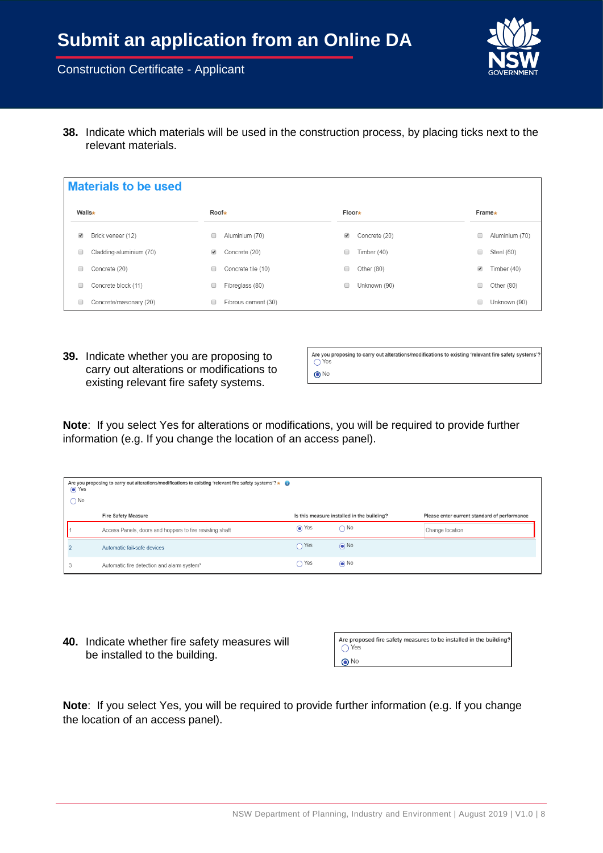

**38.** Indicate which materials will be used in the construction process, by placing ticks next to the relevant materials.

| <b>Materials to be used</b> |                         |                      |                     |                      |               |                      |                |
|-----------------------------|-------------------------|----------------------|---------------------|----------------------|---------------|----------------------|----------------|
| Walls∗                      |                         | Roof∗                |                     | Floor*               |               |                      | Frame*         |
| ✔                           | Brick veneer (12)       | 0                    | Aluminium (70)      | $\blacktriangledown$ | Concrete (20) | 0                    | Aluminium (70) |
| 0                           | Cladding-aluminium (70) | $\blacktriangledown$ | Concrete (20)       |                      | Timber (40)   | 0                    | Steel (60)     |
| 0                           | Concrete (20)           | 0                    | Concrete tile (10)  | 0                    | Other (80)    | $\blacktriangledown$ | Timber (40)    |
| 0                           | Concrete block (11)     | 0                    | Fibreglass (80)     |                      | Unknown (90)  | 0                    | Other $(80)$   |
| 0                           | Concrete/masonary (20)  | 0                    | Fibrous cement (30) |                      |               | ∩                    | Unknown (90)   |

**39.** Indicate whether you are proposing to carry out alterations or modifications to existing relevant fire safety systems.

Are you proposing to carry out alterations/modifications to existing 'relevant fire safety systems'?<br>  $\bigcirc$  Yes  $\odot$  No

**Note**: If you select Yes for alterations or modifications, you will be required to provide further information (e.g. If you change the location of an access panel).

| Are you proposing to carry out alterations/modifications to existing 'relevant fire safety systems'? $\star$<br>$\odot$ Yes<br>$\bigcap$ No |               |                                            |                                              |
|---------------------------------------------------------------------------------------------------------------------------------------------|---------------|--------------------------------------------|----------------------------------------------|
| <b>Fire Safety Measure</b>                                                                                                                  |               | Is this measure installed in the building? | Please enter current standard of performance |
| Access Panels, doors and hoppers to fire resisting shaft                                                                                    | $\odot$ Yes   | $\bigcap$ No                               | Change location                              |
| Automatic fail-safe devices                                                                                                                 | $\bigcap$ Yes | $\odot$ No                                 |                                              |
| Automatic fire detection and alarm system*                                                                                                  | $\bigcap$ Yes | $\odot$ No                                 |                                              |

**40.** Indicate whether fire safety measures will be installed to the building.

| Are proposed fire safety measures to be installed in the building?<br>◯ Yes |
|-----------------------------------------------------------------------------|
| $\odot$ No                                                                  |

**Note**: If you select Yes, you will be required to provide further information (e.g. If you change the location of an access panel).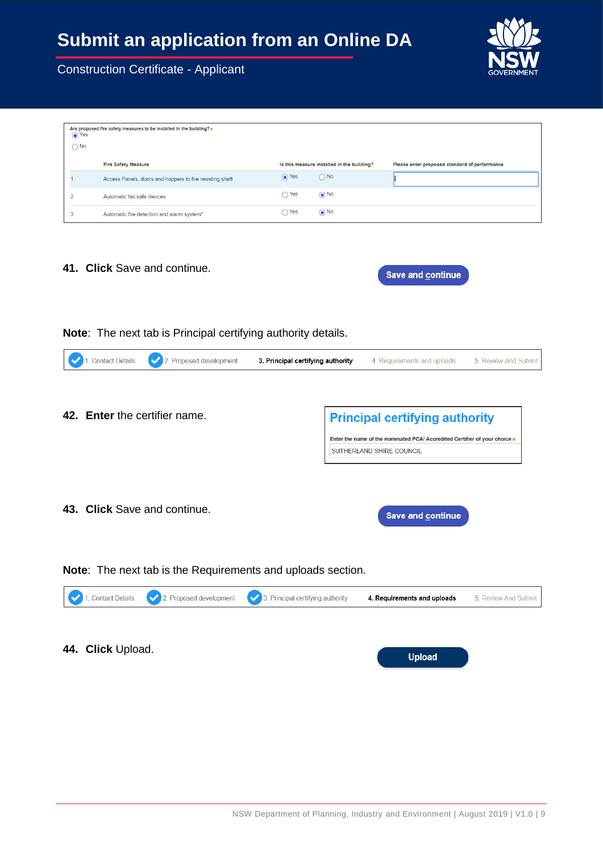

| Are proposed fire safety measures to be installed in the building?*<br>⊙ Yes<br>$\bigcap$ No |                                                          |             |                                            |                                               |
|----------------------------------------------------------------------------------------------|----------------------------------------------------------|-------------|--------------------------------------------|-----------------------------------------------|
|                                                                                              | Fire Safety Measure                                      |             | Is this measure installed in the building? | Please enter proposed standard of performance |
|                                                                                              | Access Panels, doors and hoppers to fire resisting shaft | $\odot$ Yes | $\bigcap$ No                               |                                               |
| $\overline{\phantom{a}}$                                                                     | Automatic fail-safe devices                              | Yes         | $\odot$ No                                 |                                               |
| 3                                                                                            | Automatic fire detection and alarm system*               | Yes         | $\odot$ No                                 |                                               |

**41. Click** Save and continue.

| <b>Save and continue</b> |
|--------------------------|
|                          |

**Note**: The next tab is Principal certifying authority details.

| <b>Principal certifying authority</b>                                                                  |
|--------------------------------------------------------------------------------------------------------|
| Enter the name of the nominated PCA/ Accredited Certifier of your choice *<br>SUTHERLAND SHIRE COUNCIL |
| Save and continue                                                                                      |
| Note: The next tab is the Requirements and uploads section.                                            |
| 3. Principal certifying authority<br>4. Requirements and uploads<br>5. Review And Submit               |
|                                                                                                        |

**44. Click** Upload.

**Upload**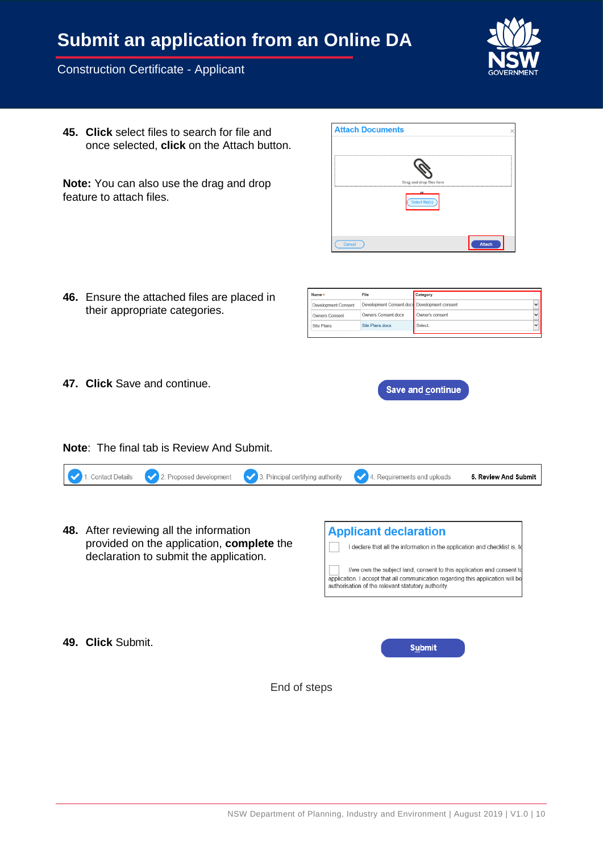# **Submit an application from an Online DA**

#### Construction Certificate - Applicant



Attach

**45. Click** select files to search for file and once selected, **click** on the Attach button.

**Note:** You can also use the drag and drop feature to attach files.

**46.** Ensure the attached files are placed in their appropriate categories.

| Name *                | File                                         | Category        |  |
|-----------------------|----------------------------------------------|-----------------|--|
| Development Consent   | Development Consent.docx Development consent |                 |  |
| <b>Owners Consent</b> | Owners Consent.docx                          | Owner's consent |  |
| Site Plans            | Site Plans docx                              | Select          |  |
|                       |                                              |                 |  |

**Save and continue** 

**Attach Documents** 

**47. Click** Save and continue.

**49. Click** Submit.

**Note**: The final tab is Review And Submit.

|  | 1. Contact Details 2. Proposed development 3. Principal certifying authority $\sqrt{2}$ . Requirements and uploads | 5. Review And Submit |
|--|--------------------------------------------------------------------------------------------------------------------|----------------------|
|  |                                                                                                                    |                      |

**48.** After reviewing all the information provided on the application, **complete** the declaration to submit the application.



**Submit** 

End of steps